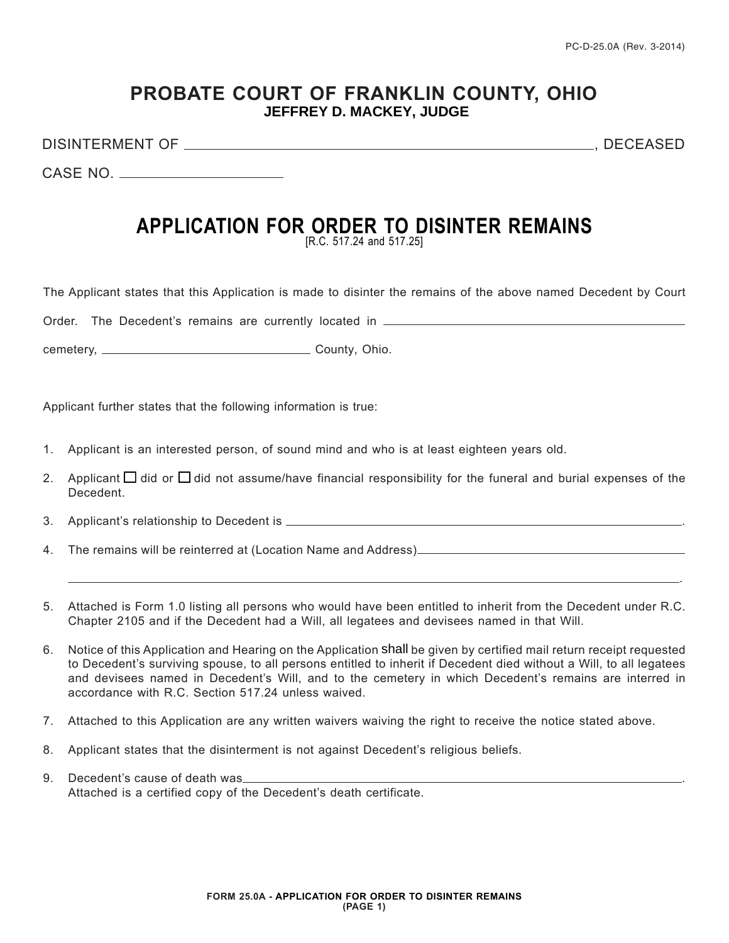## **PROBATE COURT OF FRANKLIN COUNTY, OHIO ROBERT G. MONTGOMERY, JUDGE JEFFREY D. MACKEY, JUDGE**

DISINTERMENT OF , DECEASED

.

CASE NO.

## **APPLICATION FOR ORDER TO DISINTER REMAINS**

[R.C. 517.24 and 517.25]

The Applicant states that this Application is made to disinter the remains of the above named Decedent by Court

Order. The Decedent's remains are currently located in \_\_\_\_\_\_\_\_\_\_\_\_

cemetery, County, Ohio.

Applicant further states that the following information is true:

- 1. Applicant is an interested person, of sound mind and who is at least eighteen years old.
- 2. Applicant  $\Box$  did or  $\Box$  did not assume/have financial responsibility for the funeral and burial expenses of the Decedent.
- 3. Applicant's relationship to Decedent is .
- 4. The remains will be reinterred at (Location Name and Address)
- 5. Attached is Form 1.0 listing all persons who would have been entitled to inherit from the Decedent under R.C. Chapter 2105 and if the Decedent had a Will, all legatees and devisees named in that Will.
- 6. Notice of this Application and Hearing on the Application shall be given by certified mail return receipt requested to Decedent's surviving spouse, to all persons entitled to inherit if Decedent died without a Will, to all legatees and devisees named in Decedent's Will, and to the cemetery in which Decedent's remains are interred in accordance with R.C. Section 517.24 unless waived.
- 7. Attached to this Application are any written waivers waiving the right to receive the notice stated above.
- 8. Applicant states that the disinterment is not against Decedent's religious beliefs.
- 9. Decedent's cause of death was Attached is a certified copy of the Decedent's death certificate.